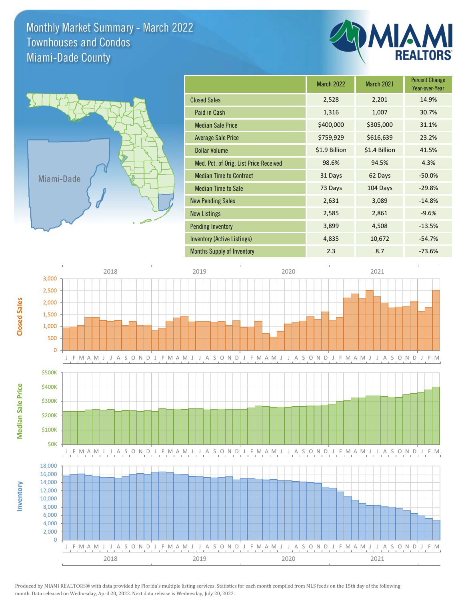Monthly Market Summary - March 2022 Miami-Dade County Townhouses and Condos



**Inventory**

**Median Sale Price**

**Median Sale Price** 

**Closed Sales**

|                                        | <b>March 2022</b> | <b>March 2021</b> | <b>Percent Change</b><br>Year-over-Year |
|----------------------------------------|-------------------|-------------------|-----------------------------------------|
| <b>Closed Sales</b>                    | 2,528             | 2,201             | 14.9%                                   |
| Paid in Cash                           | 1,316             | 1,007             | 30.7%                                   |
| <b>Median Sale Price</b>               | \$400,000         | \$305,000         | 31.1%                                   |
| <b>Average Sale Price</b>              | \$759,929         | \$616,639         | 23.2%                                   |
| <b>Dollar Volume</b>                   | \$1.9 Billion     | \$1.4 Billion     | 41.5%                                   |
| Med. Pct. of Orig. List Price Received | 98.6%             | 94.5%             | 4.3%                                    |
| <b>Median Time to Contract</b>         | 31 Days           | 62 Days           | $-50.0%$                                |
| <b>Median Time to Sale</b>             | 73 Days           | 104 Days          | $-29.8%$                                |
| <b>New Pending Sales</b>               | 2,631             | 3,089             | $-14.8%$                                |
| <b>New Listings</b>                    | 2,585             | 2,861             | $-9.6%$                                 |
| <b>Pending Inventory</b>               | 3,899             | 4,508             | $-13.5%$                                |
| Inventory (Active Listings)            | 4,835             | 10,672            | $-54.7%$                                |
| <b>Months Supply of Inventory</b>      | 2.3               | 8.7               | $-73.6%$                                |



Produced by MIAMI REALTORS® with data provided by Florida's multiple listing services. Statistics for each month compiled from MLS feeds on the 15th day of the following month. Data released on Wednesday, April 20, 2022. Next data release is Wednesday, July 20, 2022.